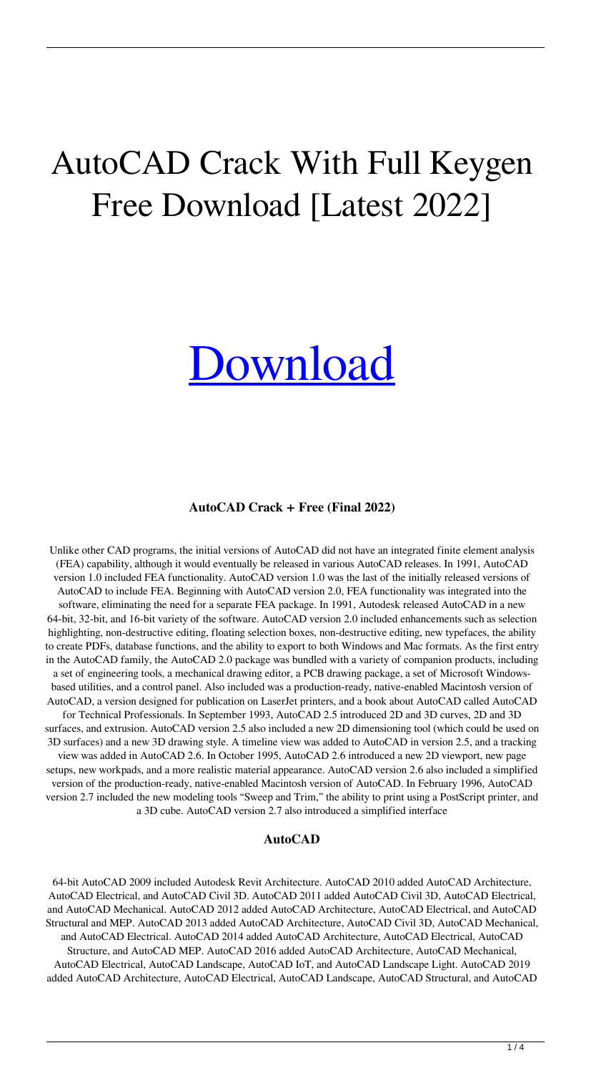## AutoCAD Crack With Full Keygen Free Download [Latest 2022]

# [Download](http://evacdir.com/?humidify=QXV0b0NBRAQXV&shizuoka=inspire&ZG93bmxvYWR8WDZJTVc5MFpueDhNVFkxTlRRM09UZzRPWHg4TWpVNU1IeDhLRTBwSUZkdmNtUndjbVZ6Y3lCYldFMU1VbEJESUZZeUlGQkVSbDA=&jury=cachaca)

#### **AutoCAD Crack + Free (Final 2022)**

Unlike other CAD programs, the initial versions of AutoCAD did not have an integrated finite element analysis (FEA) capability, although it would eventually be released in various AutoCAD releases. In 1991, AutoCAD version 1.0 included FEA functionality. AutoCAD version 1.0 was the last of the initially released versions of AutoCAD to include FEA. Beginning with AutoCAD version 2.0, FEA functionality was integrated into the software, eliminating the need for a separate FEA package. In 1991, Autodesk released AutoCAD in a new 64-bit, 32-bit, and 16-bit variety of the software. AutoCAD version 2.0 included enhancements such as selection highlighting, non-destructive editing, floating selection boxes, non-destructive editing, new typefaces, the ability to create PDFs, database functions, and the ability to export to both Windows and Mac formats. As the first entry in the AutoCAD family, the AutoCAD 2.0 package was bundled with a variety of companion products, including a set of engineering tools, a mechanical drawing editor, a PCB drawing package, a set of Microsoft Windowsbased utilities, and a control panel. Also included was a production-ready, native-enabled Macintosh version of AutoCAD, a version designed for publication on LaserJet printers, and a book about AutoCAD called AutoCAD for Technical Professionals. In September 1993, AutoCAD 2.5 introduced 2D and 3D curves, 2D and 3D surfaces, and extrusion. AutoCAD version 2.5 also included a new 2D dimensioning tool (which could be used on 3D surfaces) and a new 3D drawing style. A timeline view was added to AutoCAD in version 2.5, and a tracking view was added in AutoCAD 2.6. In October 1995, AutoCAD 2.6 introduced a new 2D viewport, new page setups, new workpads, and a more realistic material appearance. AutoCAD version 2.6 also included a simplified version of the production-ready, native-enabled Macintosh version of AutoCAD. In February 1996, AutoCAD version 2.7 included the new modeling tools "Sweep and Trim," the ability to print using a PostScript printer, and a 3D cube. AutoCAD version 2.7 also introduced a simplified interface

#### **AutoCAD**

64-bit AutoCAD 2009 included Autodesk Revit Architecture. AutoCAD 2010 added AutoCAD Architecture, AutoCAD Electrical, and AutoCAD Civil 3D. AutoCAD 2011 added AutoCAD Civil 3D, AutoCAD Electrical, and AutoCAD Mechanical. AutoCAD 2012 added AutoCAD Architecture, AutoCAD Electrical, and AutoCAD Structural and MEP. AutoCAD 2013 added AutoCAD Architecture, AutoCAD Civil 3D, AutoCAD Mechanical, and AutoCAD Electrical. AutoCAD 2014 added AutoCAD Architecture, AutoCAD Electrical, AutoCAD Structure, and AutoCAD MEP. AutoCAD 2016 added AutoCAD Architecture, AutoCAD Mechanical, AutoCAD Electrical, AutoCAD Landscape, AutoCAD IoT, and AutoCAD Landscape Light. AutoCAD 2019 added AutoCAD Architecture, AutoCAD Electrical, AutoCAD Landscape, AutoCAD Structural, and AutoCAD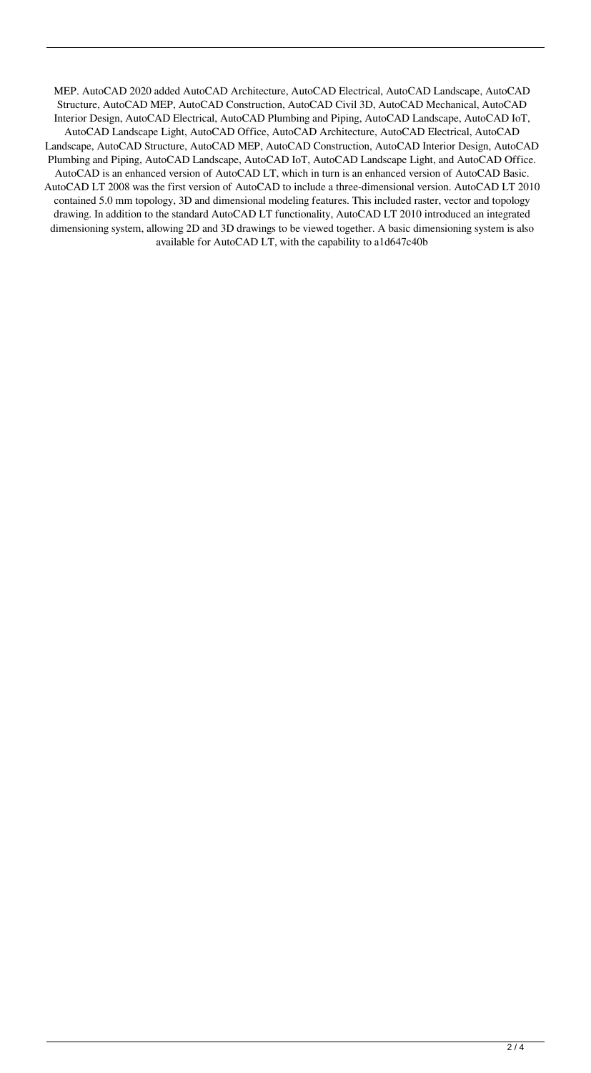MEP. AutoCAD 2020 added AutoCAD Architecture, AutoCAD Electrical, AutoCAD Landscape, AutoCAD Structure, AutoCAD MEP, AutoCAD Construction, AutoCAD Civil 3D, AutoCAD Mechanical, AutoCAD Interior Design, AutoCAD Electrical, AutoCAD Plumbing and Piping, AutoCAD Landscape, AutoCAD IoT, AutoCAD Landscape Light, AutoCAD Office, AutoCAD Architecture, AutoCAD Electrical, AutoCAD Landscape, AutoCAD Structure, AutoCAD MEP, AutoCAD Construction, AutoCAD Interior Design, AutoCAD Plumbing and Piping, AutoCAD Landscape, AutoCAD IoT, AutoCAD Landscape Light, and AutoCAD Office. AutoCAD is an enhanced version of AutoCAD LT, which in turn is an enhanced version of AutoCAD Basic. AutoCAD LT 2008 was the first version of AutoCAD to include a three-dimensional version. AutoCAD LT 2010 contained 5.0 mm topology, 3D and dimensional modeling features. This included raster, vector and topology drawing. In addition to the standard AutoCAD LT functionality, AutoCAD LT 2010 introduced an integrated dimensioning system, allowing 2D and 3D drawings to be viewed together. A basic dimensioning system is also available for AutoCAD LT, with the capability to a1d647c40b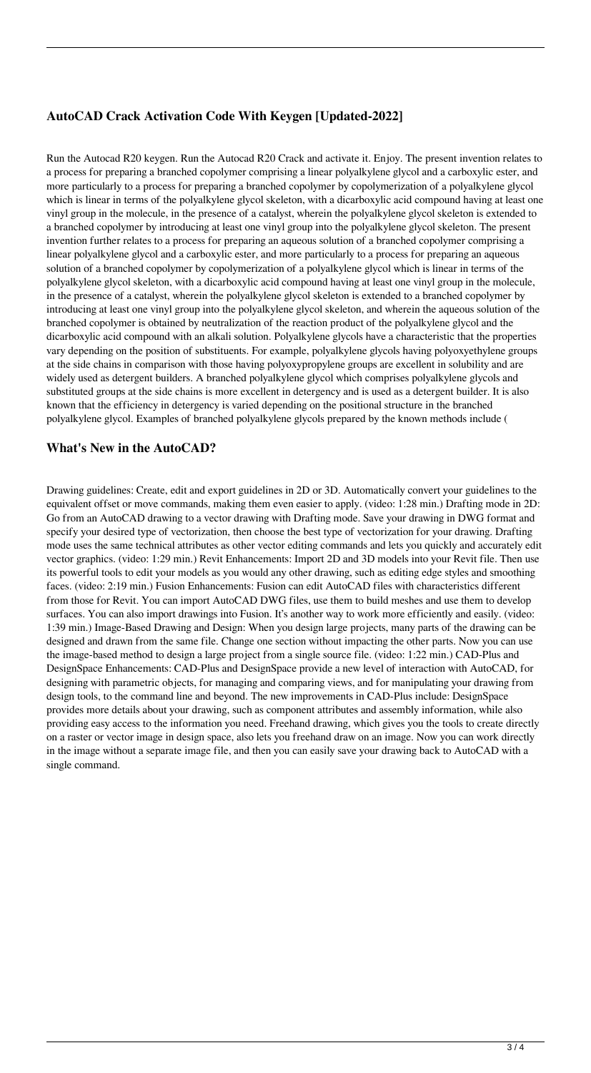### **AutoCAD Crack Activation Code With Keygen [Updated-2022]**

Run the Autocad R20 keygen. Run the Autocad R20 Crack and activate it. Enjoy. The present invention relates to a process for preparing a branched copolymer comprising a linear polyalkylene glycol and a carboxylic ester, and more particularly to a process for preparing a branched copolymer by copolymerization of a polyalkylene glycol which is linear in terms of the polyalkylene glycol skeleton, with a dicarboxylic acid compound having at least one vinyl group in the molecule, in the presence of a catalyst, wherein the polyalkylene glycol skeleton is extended to a branched copolymer by introducing at least one vinyl group into the polyalkylene glycol skeleton. The present invention further relates to a process for preparing an aqueous solution of a branched copolymer comprising a linear polyalkylene glycol and a carboxylic ester, and more particularly to a process for preparing an aqueous solution of a branched copolymer by copolymerization of a polyalkylene glycol which is linear in terms of the polyalkylene glycol skeleton, with a dicarboxylic acid compound having at least one vinyl group in the molecule, in the presence of a catalyst, wherein the polyalkylene glycol skeleton is extended to a branched copolymer by introducing at least one vinyl group into the polyalkylene glycol skeleton, and wherein the aqueous solution of the branched copolymer is obtained by neutralization of the reaction product of the polyalkylene glycol and the dicarboxylic acid compound with an alkali solution. Polyalkylene glycols have a characteristic that the properties vary depending on the position of substituents. For example, polyalkylene glycols having polyoxyethylene groups at the side chains in comparison with those having polyoxypropylene groups are excellent in solubility and are widely used as detergent builders. A branched polyalkylene glycol which comprises polyalkylene glycols and substituted groups at the side chains is more excellent in detergency and is used as a detergent builder. It is also known that the efficiency in detergency is varied depending on the positional structure in the branched polyalkylene glycol. Examples of branched polyalkylene glycols prepared by the known methods include (

#### **What's New in the AutoCAD?**

Drawing guidelines: Create, edit and export guidelines in 2D or 3D. Automatically convert your guidelines to the equivalent offset or move commands, making them even easier to apply. (video: 1:28 min.) Drafting mode in 2D: Go from an AutoCAD drawing to a vector drawing with Drafting mode. Save your drawing in DWG format and specify your desired type of vectorization, then choose the best type of vectorization for your drawing. Drafting mode uses the same technical attributes as other vector editing commands and lets you quickly and accurately edit vector graphics. (video: 1:29 min.) Revit Enhancements: Import 2D and 3D models into your Revit file. Then use its powerful tools to edit your models as you would any other drawing, such as editing edge styles and smoothing faces. (video: 2:19 min.) Fusion Enhancements: Fusion can edit AutoCAD files with characteristics different from those for Revit. You can import AutoCAD DWG files, use them to build meshes and use them to develop surfaces. You can also import drawings into Fusion. It's another way to work more efficiently and easily. (video: 1:39 min.) Image-Based Drawing and Design: When you design large projects, many parts of the drawing can be designed and drawn from the same file. Change one section without impacting the other parts. Now you can use the image-based method to design a large project from a single source file. (video: 1:22 min.) CAD-Plus and DesignSpace Enhancements: CAD-Plus and DesignSpace provide a new level of interaction with AutoCAD, for designing with parametric objects, for managing and comparing views, and for manipulating your drawing from design tools, to the command line and beyond. The new improvements in CAD-Plus include: DesignSpace provides more details about your drawing, such as component attributes and assembly information, while also providing easy access to the information you need. Freehand drawing, which gives you the tools to create directly on a raster or vector image in design space, also lets you freehand draw on an image. Now you can work directly in the image without a separate image file, and then you can easily save your drawing back to AutoCAD with a single command.